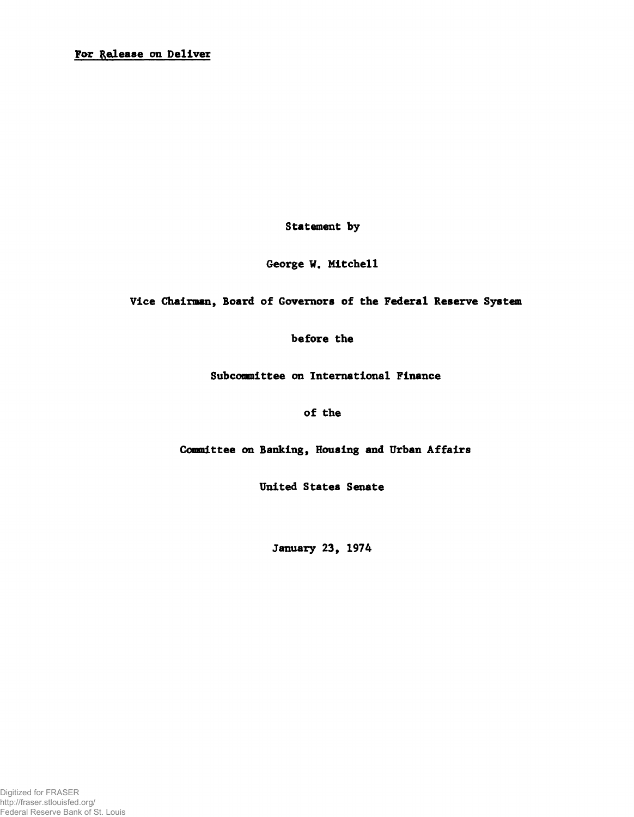Statement by

George W. Mitchell

Vice Chairman, Board of Governors of the Federal Reserve System

before the

Subcommittee on International Finance

of the

Committee on Banking, Housing and Urban Affairs

United States Senate

January 23, 1974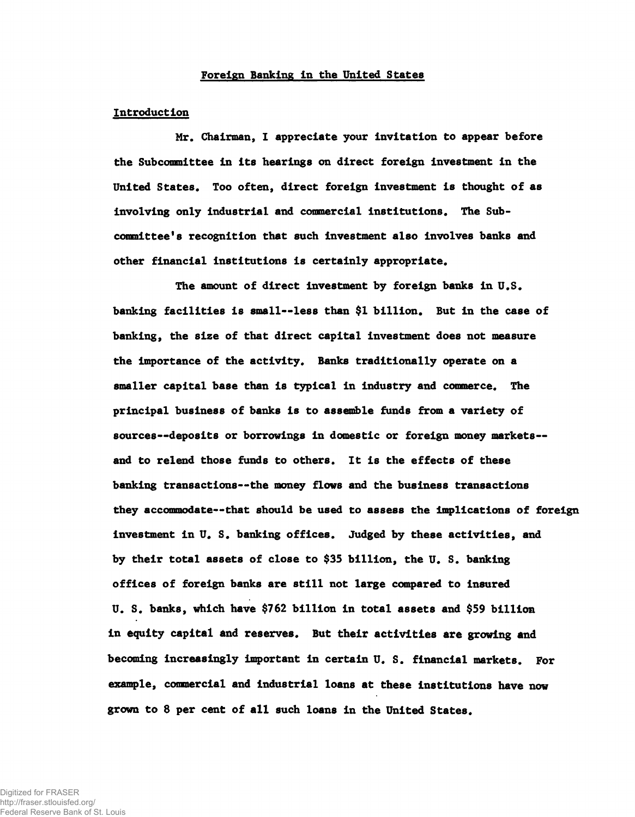### Foreign Banking In the United States

### Introduction

Mr. Chairman, I appreciate your invitation to appear before the Subcommittee in its hearings on direct foreign investment in the United States. Too often, direct foreign investment is thought of as involving only industrial and commercial institutions. The Subcommittee's recognition that such investment also involves banks and other financial institutions is certainly appropriate.

The amount of direct investment by foreign banks in U.S. banking facilities is small--less than \$1 billion. But in the case of banking, the size of that direct capital investment does not measure the importance of the activity. Banks traditionally operate on a smaller capital base than is typical in industry and commerce. The principal business of banks is to assemble funds from a variety of sources--deposits or borrowings in domestic or foreign money markets-and to relend those funds to others. It is the effects of these banking transactions— the money flows and the business transactions they accommodate— that should be used to assess the implications of foreign investment in U. S. banking offices. Judged by these activities, and by their total assets of close to \$35 billion, the U. S. banking offices of foreign banks are still not large compared to insured U. S. banks, which have \$762 billion in total assets and \$59 billion in equity capital and reserves. But their activities are growing and becoming increasingly important in certain U. S. financial markets. For example, commercial and industrial loans at these institutions have now grown to 8 per cent of all such loans in the United States.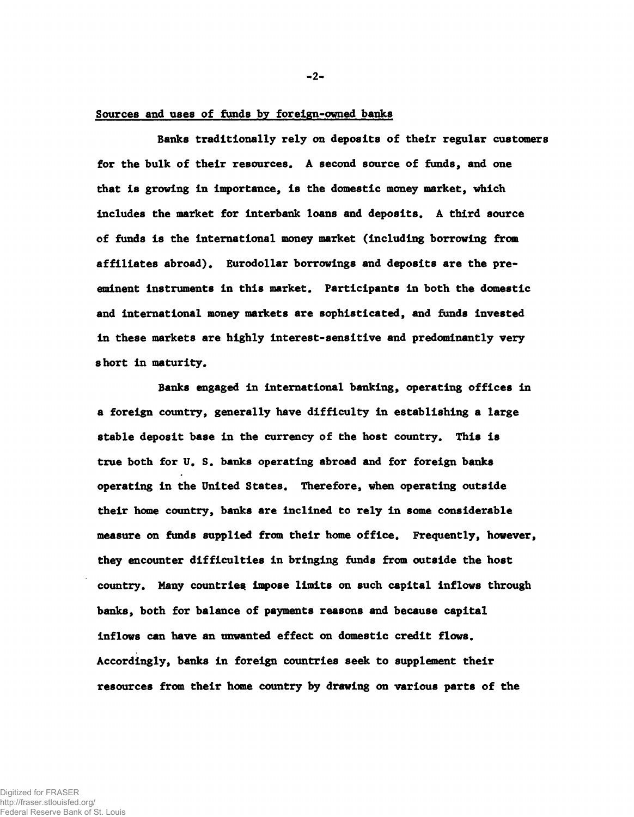## Sources and uses of funds by forelgn-owned banks

Banks traditionally rely on deposits of their regular customers for the bulk of their resources. A second source of funds, and one that is growing in importance, is the domestic money market, which includes the market for interbank loans and deposits. A third source of funds is the international money market (including borrowing from affiliates abroad). Eurodollar borrowings and deposits are the preeminent instruments in this market. Participants in both the domestic and international money markets are sophisticated, and funds invested in these markets are highly interest-sensitive and predominantly very short in maturity.

Banks engaged in international banking, operating offices in a foreign country, generally have difficulty in establishing a large stable deposit base in the currency of the host country. This is true both for U. S. banks operating abroad and for foreign banks operating in the United States. Therefore, when operating outside their home country, banks are inclined to rely in some considerable measure on funds supplied from their home office. Frequently, however, they encounter difficulties in bringing funds from outside the host country. Many countries impose limits on such capital inflows through banks, both for balance of payments reasons and because capital inflows can have an unwanted effect on domestic credit flows. Accordingly, banks in foreign countries seek to supplement their resources from their home country by drawing on various parts of the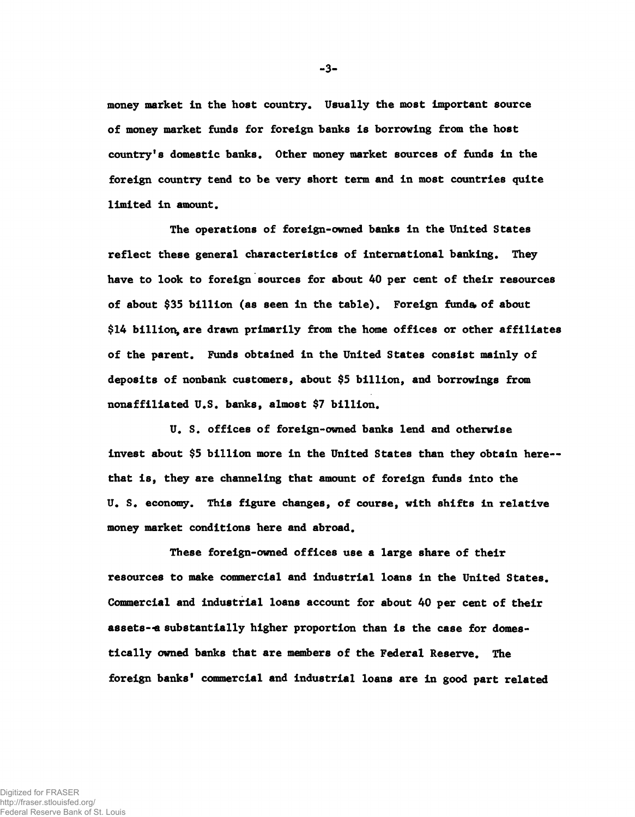money market in the host country. Usually the most Important source of money market funds for foreign banks is borrowing from the host country's domestic banks. Other money market sources of funds In the foreign country tend to be very short term and In most countries quite limited in amount.

The operations of foreign-owned banks in the United States reflect these general characteristics of international banking. They have to look to foreign sources for about 40 per cent of their resources of about \$35 billion (as seen in the table). Foreign funds of about \$14 billion, are drawn primarily from the home offices or other affiliates of the parent. Funds obtained in the United States consist mainly of deposits of nonbank customers, about \$5 billion, and borrowings from nonaffiliated U.S. banks, almost \$7 billion.

U. S. offices of foreign-owned banks lend and otherwise invest about \$5 billion more in the United States than they obtain here-that is, they are channeling that amount of foreign funds into the U. S. economy. This figure changes, of course, with shifts in relative money market conditions here and abroad.

These foreign-owned offices use a large share of their resources to make commercial and Industrial loans in the United States. Commercial and industrial loans account for about 40 per cent of their assets— a substantially higher proportion than is the case for domestically owned banks that are members of the Federal Reserve. The foreign banks' commercial and industrial loans are in good part related

-3-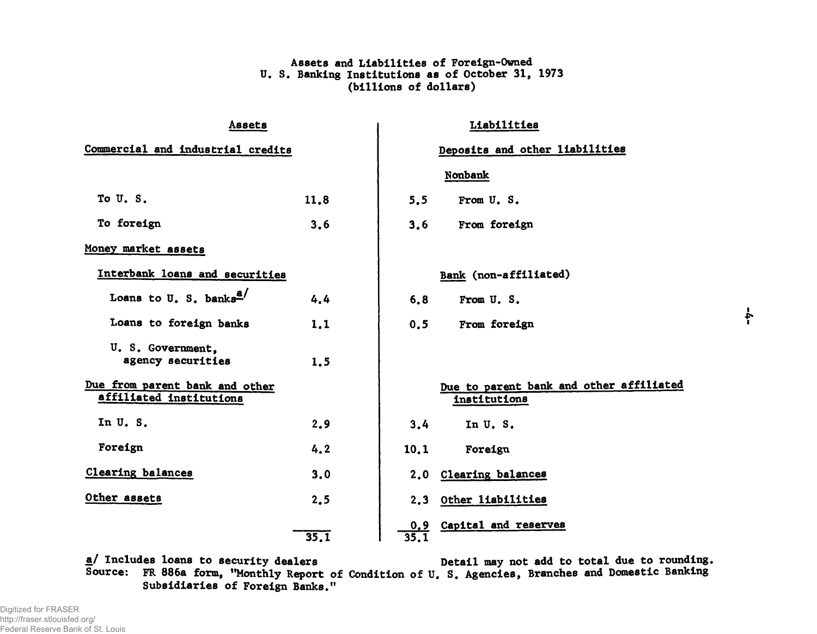# Assets and Liabilities of Foreign-Owned U. S. Banking Institutions as of October 31, 1973 (billions of dollars)

| Assets<br>Commercial and industrial credits               |      | Liabilities<br>Deposits and other liabilities |                                                         |       |
|-----------------------------------------------------------|------|-----------------------------------------------|---------------------------------------------------------|-------|
|                                                           |      |                                               |                                                         |       |
|                                                           |      |                                               | Nonbank                                                 |       |
| To U.S.                                                   | 11.8 | 5.5                                           | From U.S.                                               |       |
| To foreign                                                | 3.6  | 3.6                                           | From foreign                                            |       |
| Money market assets                                       |      |                                               |                                                         |       |
| Interbank loans and securities                            |      |                                               | Bank (non-affiliated)                                   |       |
| Loans to U. S. banks <sup>a/</sup>                        | 4.4  | 6,8                                           | From U.S.                                               |       |
| Loans to foreign banks                                    | 1,1  | 0.5                                           | From foreign                                            | $-4-$ |
| U. S. Government.<br>agency securities                    | 1.5  |                                               |                                                         |       |
| Due from parent bank and other<br>affiliated institutions |      |                                               | Due to parent bank and other affiliated<br>institutions |       |
| In U.S.                                                   | 2.9  | 3.4                                           | In U.S.                                                 |       |
| Foreign                                                   | 4.2  | 10,1                                          | Foreign                                                 |       |
| <b>Clearing balances</b>                                  | 3.0  |                                               | 2.0 Clearing balances                                   |       |
| Other assets                                              | 2.5  |                                               | 2.3 Other liabilities                                   |       |
|                                                           | 35.1 | 35.1                                          | 0.9 Capital and reserves                                |       |

a/ Includes loans to security dealers Source: FR 886a form, ''Monthly Report of Condition of U, S. Agencies, Branches and Domestic Banking Subsidiaries of Foreign Banks." Detail may not add to total due to rounding.

Digitized for FRASER http://fraser.stlouisfed.org/ Federal Reserve Bank of St. Louis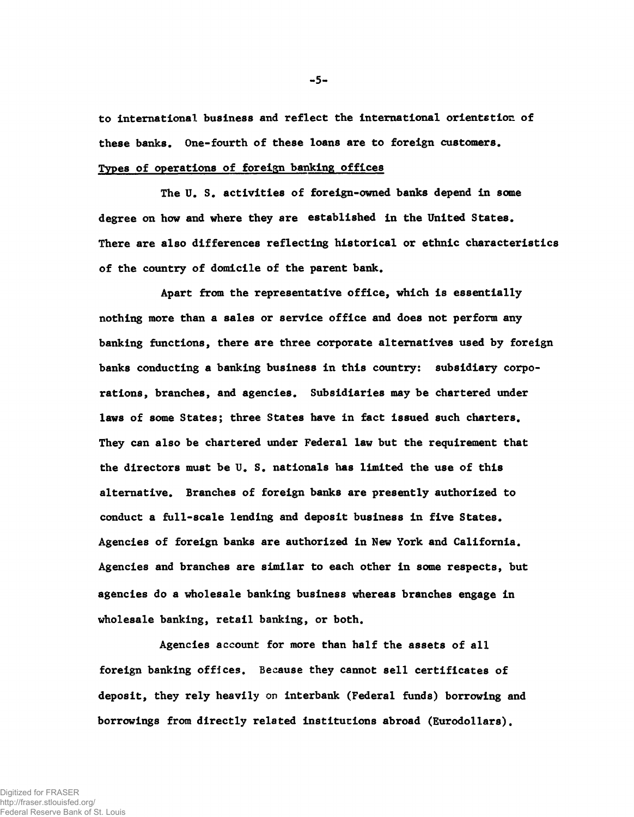to international business and reflect the international orientstion of these banks. One-fourth of these loans are to foreign customers. Types of operations of foreign banking offices

The U. S. activities of foreign-owned banks depend in some degree on how and where they are established in the United States. There are also differences reflecting historical or ethnic characteristics of the country of domicile of the parent bank.

Apart from the representative office, which is essentially nothing more than a sales or service office and does not perform any banking functions, there are three corporate alternatives used by foreign banks conducting a banking business in this country: subsidiary corporations, branches, and agencies. Subsidiaries may be chartered under laws of some States; three States have in fact issued such charters. They can also be chartered under Federal law but the requirement that the directors must be U. S. nationals has limited the use of this alternative. Branches of foreign banks are presently authorized to conduct a full-scale lending and deposit business in five States. Agencies of foreign banks are authorized in New York and California. Agencies and branches are similar to each other in some respects, but agencies do a wholesale banking business whereas branches engage in wholesale banking, retail banking, or both.

Agencies account for more than half the assets of all foreign banking offices. Because they cannot sell certificates of deposit, they rely heavily on interbank (Federal funds) borrowing and borrowings from directly related institutions abroad (Eurodollars).

-5-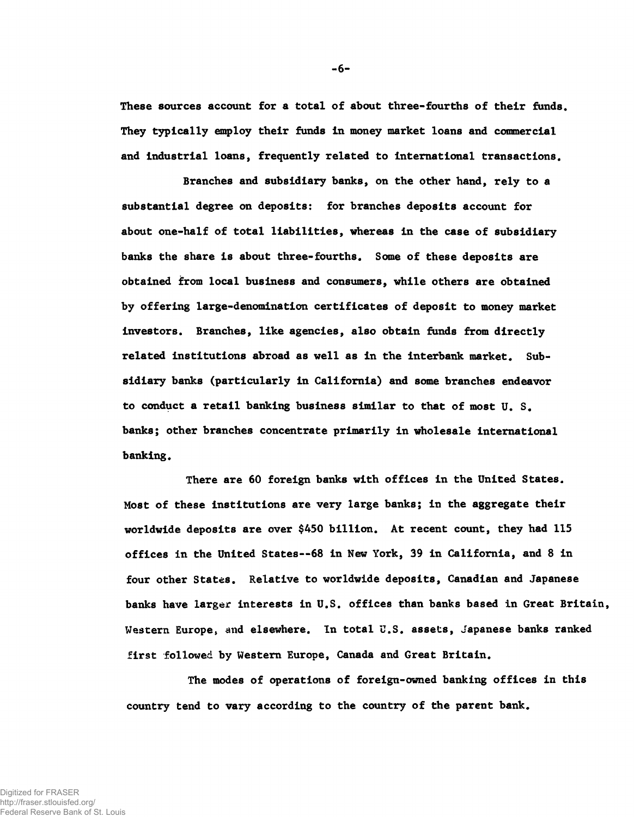They typically employ their funds In money market loans and commercial and Industrial loans, frequently related to International transactions. These sources account for a total of about three-fourths of their funds.

Branches and subsidiary banks, on the other hand, rely to a substantial degree on deposits: for branches deposits account for about one-half of total liabilities, whereas in the case of subsidiary banks the share is about three-fourths. Some of these deposits are obtained from local business and consumers, while others are obtained by offering large-denomination certificates of deposit to money market investors. Branches, like agencies, also obtain funds from directly related institutions abroad as well as in the interbank market. Subsidiary banks (particularly in California) and some branches endeavor to conduct a retail banking business similar to that of most U. S. banks; other branches concentrate primarily in wholesale international banking.

There are 60 foreign banks with offices in the United States. Most of these institutions are very large banks; in the aggregate their worldwide deposits are over \$450 billion. At recent count, they had 115 offices in the United States— 68 in New York, 39 in California, and 8 in four other States. Relative to worldwide deposits, Canadian and Japanese banks have larger interests in U.S. offices than banks based in Great Britain, Western Europe, and elsewhere. In total U.S. assets, Japanese banks ranked first followed by Western Europe, Canada and Great Britain.

The modes of operations of foreign-owned banking offices in this country tend to vary according to the country of the parent bank.

 $-6-$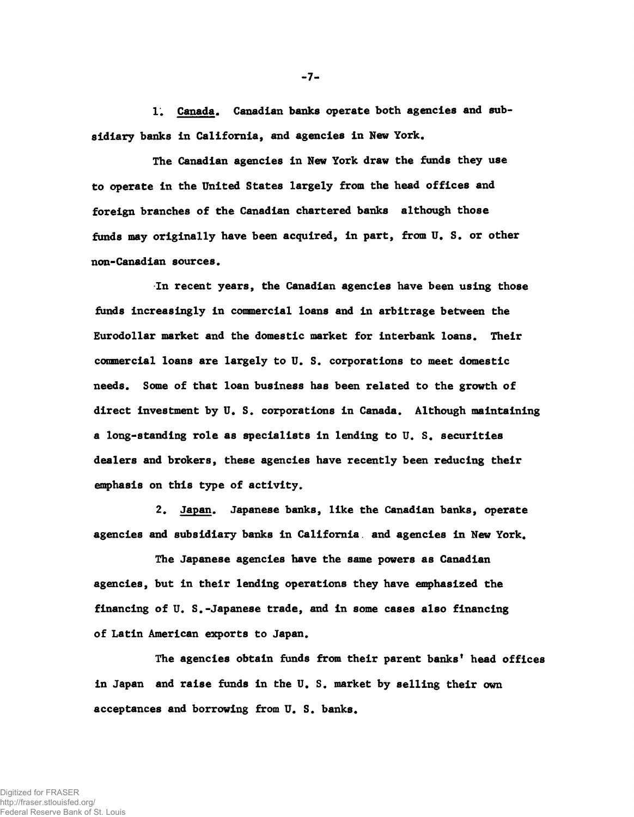1. Canada. Canadian banks operate both agencies and subsidiary banks in California, and agencies in New York.

The Canadian agencies in New York draw the funds they use to operate in the United States largely from the head offices and foreign branches of the Canadian chartered banks although those funds may originally have been acquired, in part, from U. S. or other non-Canadian sources.

In recent years, the Canadian agencies have been using those funds increasingly in commercial loans and in arbitrage between the Eurodollar market and the domestic market for interbank loans. Their commercial loans are largely to U. S. corporations to meet domestic needs. Some of that loan business has been related to the growth of direct investment by U. S. corporations in Canada. Although maintaining a long-standing role as specialists in lending to U. S. securities dealers and brokers, these agencies have recently been reducing their emphasis on this type of activity.

2. Japan. Japanese banks, like the Canadian banks, operate agencies and subsidiary banks in California, and agencies in New York.

The Japanese agencies have the same powers as Canadian agencies, but in their lending operations they have emphasized the financing of U. S.-Japanese trade, and in some cases also financing of Latin American exports to Japan.

The agencies obtain funds from their parent banks' head offices in Japan and raise funds in the U. S. market by selling their own acceptances and borrowing from U. S. banks.

-7-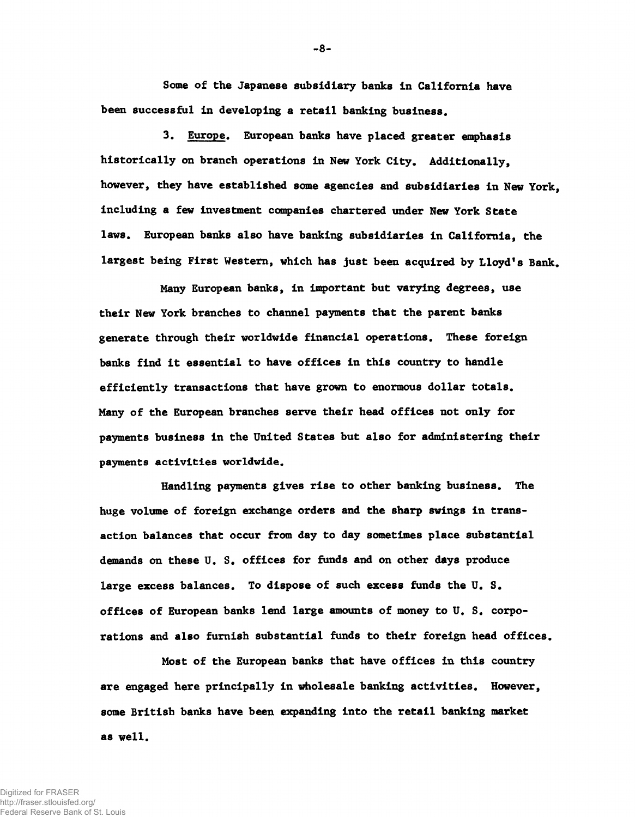Some of the Japanese subsidiary banks in California have been successful in developing a retail banking business.

3. Europe. European banks have placed greater emphasis historically on branch operations in New York City. Additionally, however, they have established some agencies and subsidiaries in New York, including a few investment companies chartered under New York State laws. European banks also have banking subsidiaries in California, the largest being First Western, which has just been acquired by Lloyd's Bank.

Many European banks, in important but varying degrees, use their New York branches to channel payments that the parent banks generate through their worldwide financial operations. These foreign banks find it essential to have offices in this country to handle efficiently transactions that have grown to enormous dollar totals. Many of the European branches serve their head offices not only for payments business in the United States but also for administering their payments activities worldwide.

Handling payments gives rise to other banking business. The huge volume of foreign exchange orders and the sharp swings in transaction balances that occur from day to day sometimes place substantial demands on these U. S. offices for funds and on other days produce large excess balances. To dispose of such excess funds the U. S. offices of European banks lend large amounts of money to U. S. corporations and also furnish substantial funds to their foreign head offices.

Most of the European banks that have offices in this country are engaged here principally in wholesale banking activities. However, some British banks have been expanding into the retail banking market as well.

8-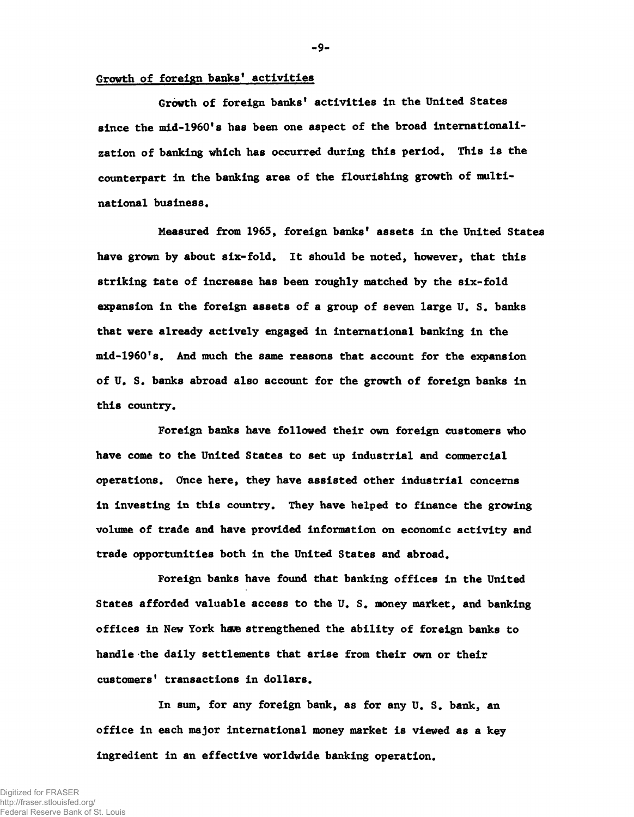### Growth of foreign banks' activities

Growth of foreign banks' activities in the United States since the mid-1960's has been one aspect of the broad internationalization of banking which has occurred during this period. This is the counterpart in the banking area of the flourishing growth of multinational business.

Measured from 1965, foreign banks' assets in the United States have grown by about six-fold. It should be noted, however, that this striking tate of increase has been roughly matched by the six-fold expansion in the foreign assets of a group of seven large U. S. banks that were already actively engaged in international banking in the mid-1960's. And much the same reasons that account for the expansion of U. S. banks abroad also account for the growth of foreign banks in this country.

Foreign banks have followed their own foreign customers who have come to the United States to set up industrial and commercial operations. Once here, they have assisted other industrial concerns in investing in this country. They have helped to finance the growing volume of trade and have provided information on economic activity and trade opportunities both in the United States and abroad.

Foreign banks have found that banking offices in the United States afforded valuable access to the U. S. money market, and banking offices in New York have strengthened the ability of foreign banks to handle the daily settlements that arise from their own or their customers' transactions in dollars.

In sum, for any foreign bank, as for any U. S. bank, an office in each major international money market is viewed as a key ingredient in an effective worldwide banking operation.

 $-9-$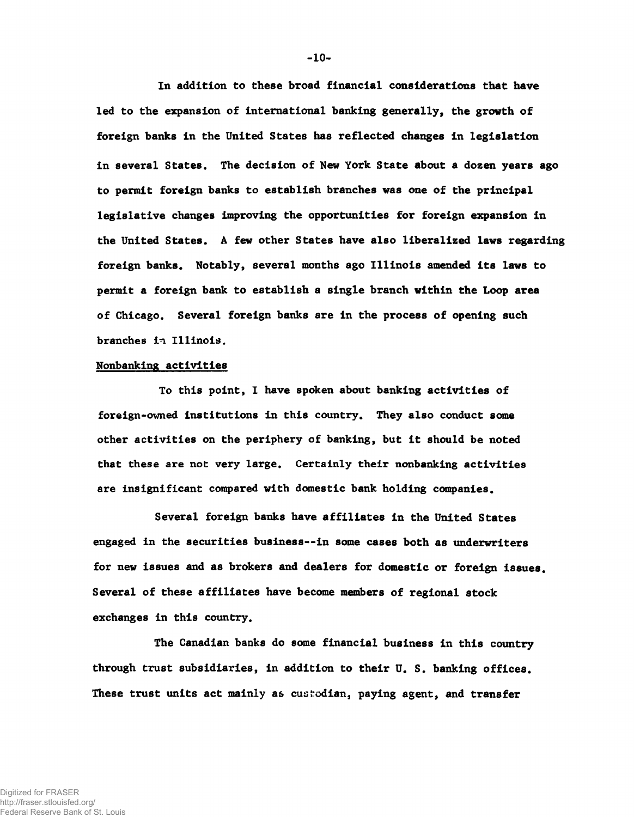In addition to these broad financial considerations that have led to the expansion of international banking generally, the growth of foreign banks in the United States has reflected changes in legislation in several States. The decision of New York State about a dozen years ago to permit foreign banks to establish branches was one of the principal legislative changes improving the opportunities for foreign expansion in the United States. A few other States have also liberalized laws regarding foreign banks. Notably, several months ago Illinois amended its laws to permit a foreign bank to establish a single branch within the Loop area of Chicago. Several foreign banks are in the process of opening such branches in Illinois.

### Nonbanking activities

To this point, I have spoken about banking activities of foreign-owned institutions in this country. They also conduct some other activities on the periphery of banking, but it should be noted that these are not very large. Certainly their nonbanking activities are insignificant compared with domestic bank holding companies.

Several foreign banks have affiliates in the United States engaged in the securities business--in some cases both as underwriters for new issues and as brokers and dealers for domestic or foreign issues. Several of these affiliates have become members of regional stock exchanges in this country.

The Canadian banks do some financial business in this country through trust subsidiaries, in addition to their U. S. banking offices. These trust units act mainly as custodian, paying agent, and transfer

 $-10-$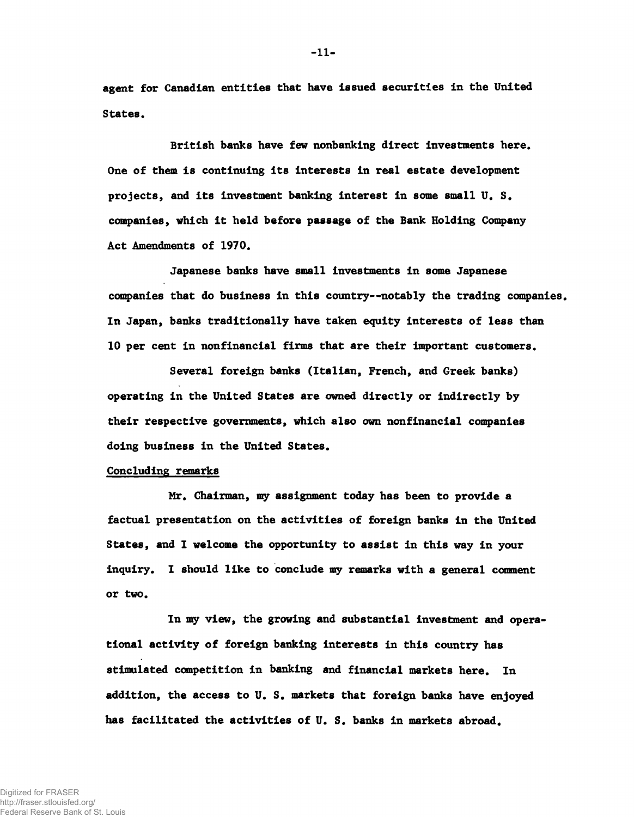agent for Canadian entitles that have Issued securities in the United States.

British banks have few nonbanking direct investments here. One of them is continuing its interests in real estate development projects, and its investment banking interest in some small U. S. companies, which it held before passage of the Bank Holding Company Act Amendments of 1970.

Japanese banks have small investments in some Japanese companies that do business in this country— notably the trading companies. In Japan, banks traditionally have taken equity interests of less than 10 per cent in nonfinancial firms that are their important customers.

Several foreign banks (Italian, French, and Greek banks) operating in the United States are owned directly or indirectly by their respective governments, which also own nonfinancial companies doing business in the United States.

## Concluding remarks

Mr. Chairman, my assignment today has been to provide a factual presentation on the activities of foreign banks in the United States, and I welcome the opportunity to assist in this way in your inquiry. I should like to conclude my remarks with a general comment or two.

In my view, the growing and substantial investment and operational activity of foreign banking interests in this country has stimulated competition in banking and financial markets here. In addition, the access to U. S. markets that foreign banks have enjoyed has facilitated the activities of U. S. banks in markets abroad.

-11-